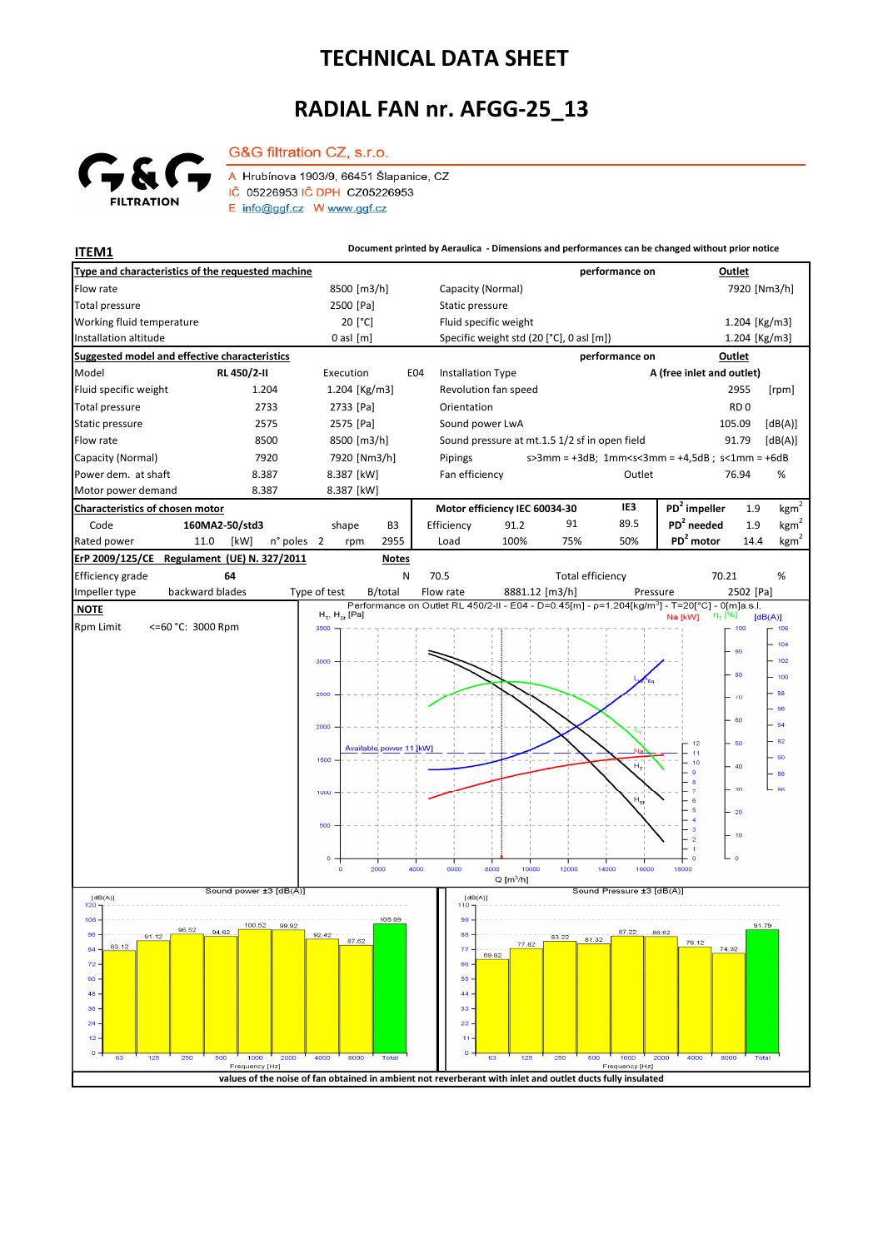## **TECHNICAL DATA SHEET**

## **RADIAL FAN nr. AFGG-25\_13**



G&G filtration CZ, s.r.o. A Hrubínova 1903/9, 66451 Šlapanice, CZ IČ 05226953 IČ DPH CZ05226953 E info@ggf.cz W www.ggf.cz

**ITEM1 Document printed by Aeraulica - Dimensions and performances can be changed without prior notice**

| Type and characteristics of the requested machine                              |                                                                                                            |                                                                                              | performance on                       | Outlet                                                                     |
|--------------------------------------------------------------------------------|------------------------------------------------------------------------------------------------------------|----------------------------------------------------------------------------------------------|--------------------------------------|----------------------------------------------------------------------------|
| Flow rate                                                                      | 8500 [m3/h]                                                                                                | Capacity (Normal)                                                                            |                                      | 7920 [Nm3/h]                                                               |
| <b>Total pressure</b>                                                          | 2500 [Pa]                                                                                                  | Static pressure                                                                              |                                      |                                                                            |
| Working fluid temperature                                                      | 20 [°C]                                                                                                    | Fluid specific weight                                                                        |                                      | 1.204 [Kg/m3]                                                              |
| Installation altitude                                                          | $0$ asl $[m]$                                                                                              | Specific weight std (20 [°C], 0 asl [m])                                                     |                                      | 1.204 [Kg/m3]                                                              |
| Suggested model and effective characteristics                                  |                                                                                                            |                                                                                              | performance on                       | Outlet                                                                     |
| Model<br>RL 450/2-II                                                           | Execution<br>E04                                                                                           | <b>Installation Type</b>                                                                     |                                      | A (free inlet and outlet)                                                  |
| Fluid specific weight<br>1.204                                                 | 1.204 [Kg/m3]                                                                                              | Revolution fan speed                                                                         |                                      | 2955<br>[rpm]                                                              |
| <b>Total pressure</b><br>2733                                                  | 2733 [Pa]                                                                                                  | Orientation                                                                                  |                                      | RD <sub>0</sub>                                                            |
| Static pressure<br>2575                                                        | 2575 [Pa]                                                                                                  | Sound power LwA                                                                              |                                      | 105.09<br>[dB(A)]                                                          |
| Flow rate<br>8500                                                              | 8500 [m3/h]                                                                                                | Sound pressure at mt.1.5 1/2 sf in open field                                                |                                      | [dB(A)]<br>91.79                                                           |
| Capacity (Normal)<br>7920<br>Power dem. at shaft<br>8.387                      | 7920 [Nm3/h]                                                                                               | Pipings                                                                                      | Outlet                               | $s > 3$ mm = +3dB; 1mm <s<3mm +4,5db;="" =="" s<1mm="+6dB&lt;br">%</s<3mm> |
| 8.387<br>Motor power demand                                                    | 8.387 [kW]<br>8.387 [kW]                                                                                   | Fan efficiency                                                                               |                                      | 76.94                                                                      |
| Characteristics of chosen motor                                                |                                                                                                            | Motor efficiency IEC 60034-30                                                                | IE3                                  | $PD2$ impeller<br>kgm <sup>2</sup><br>1.9                                  |
| Code<br>160MA2-50/std3                                                         | shape<br>B3                                                                                                | Efficiency<br>91.2                                                                           | 91<br>89.5                           | $PD2$ needed<br>kgm <sup>2</sup><br>1.9                                    |
| Rated power<br>11.0<br>[kW]<br>n° poles                                        | 2955<br>2<br>rpm                                                                                           | 100%<br>Load                                                                                 | 75%<br>50%                           | PD <sup>2</sup> motor<br>kgm <sup>2</sup><br>14.4                          |
| ErP 2009/125/CE Regulament (UE) N. 327/2011                                    | <b>Notes</b>                                                                                               |                                                                                              |                                      |                                                                            |
| Efficiency grade<br>Ν<br>70.5<br><b>Total efficiency</b><br>70.21<br>%<br>64   |                                                                                                            |                                                                                              |                                      |                                                                            |
| backward blades<br>Impeller type                                               | Type of test<br>B/total                                                                                    | Flow rate<br>8881.12 [m3/h]                                                                  | Pressure                             | 2502 [Pa]                                                                  |
| <b>NOTE</b>                                                                    | $H_T$ , $H_{St}$ [Pa]                                                                                      | Performance on Outlet RL 450/2-II - E04 - D=0.45[m] - p=1.204[kg/m3] - T=20[°C] - 0[m]a.s.l. |                                      | $\eta_{\tau}$ [%]                                                          |
| Rpm Limit<br><=60 °C: 3000 Rpm                                                 | 3500                                                                                                       |                                                                                              |                                      | Na [kW]<br>[dB(A)]<br>106<br>100                                           |
|                                                                                |                                                                                                            |                                                                                              |                                      | 104                                                                        |
|                                                                                | 3000                                                                                                       |                                                                                              |                                      | 90<br>102                                                                  |
|                                                                                |                                                                                                            |                                                                                              |                                      | 80<br>100                                                                  |
|                                                                                | 2500                                                                                                       |                                                                                              |                                      | 98<br>$\sqrt{0}$                                                           |
|                                                                                |                                                                                                            |                                                                                              |                                      | 96                                                                         |
|                                                                                | 2000                                                                                                       |                                                                                              |                                      | 60<br>94                                                                   |
|                                                                                | Available power 11 [kW]                                                                                    |                                                                                              |                                      | 92<br>50<br>12                                                             |
|                                                                                | 1500                                                                                                       |                                                                                              | Н,                                   | 90<br>40                                                                   |
|                                                                                |                                                                                                            |                                                                                              |                                      | 88<br>30<br>86                                                             |
|                                                                                | 1000                                                                                                       |                                                                                              | $\mathsf{H}_{\mathsf{S}^{\sharp}}$   |                                                                            |
|                                                                                |                                                                                                            |                                                                                              |                                      | 20                                                                         |
|                                                                                | 500                                                                                                        |                                                                                              |                                      | 3<br>10<br>$\overline{a}$                                                  |
|                                                                                |                                                                                                            |                                                                                              |                                      | $\circ$                                                                    |
|                                                                                | 2000<br>4000<br>$\Omega$                                                                                   | 10000<br>6000<br>8000                                                                        | 12000<br>14000<br>16000              | 18000                                                                      |
| $Q$ [m <sup>3</sup> /h]<br>Sound power ±3 [dB(A)]<br>Sound Pressure ±3 [dB(A)] |                                                                                                            |                                                                                              |                                      |                                                                            |
| [dB(A)]<br>120                                                                 |                                                                                                            | [dB(A)]<br>110                                                                               |                                      |                                                                            |
| 108<br>100.52<br>99.92<br>96.52                                                | 105.09                                                                                                     | 99                                                                                           |                                      | 91.79                                                                      |
| 96<br>91.12<br>83.12                                                           | 92.42<br>87.62                                                                                             | 77.82                                                                                        | 83.22<br>81.32                       | 79.12                                                                      |
| 84<br>72                                                                       |                                                                                                            | 77<br>69.82<br>66                                                                            |                                      | 74.32                                                                      |
| 60                                                                             |                                                                                                            | 55.                                                                                          |                                      |                                                                            |
| 48                                                                             |                                                                                                            |                                                                                              |                                      |                                                                            |
| 36                                                                             |                                                                                                            | 33                                                                                           |                                      |                                                                            |
| 24                                                                             |                                                                                                            | 22                                                                                           |                                      |                                                                            |
| 12<br>$\Omega$                                                                 |                                                                                                            | $\Omega$                                                                                     |                                      |                                                                            |
| 1000<br>2000<br>125<br>250<br>500<br>63<br>Frequency [Hz]                      | 4000<br>8000<br><b>Total</b>                                                                               | 63<br>125                                                                                    | 1000<br>500<br>250<br>Frequency [Hz] | 2000<br>4000<br>8000<br>Total                                              |
|                                                                                | values of the noise of fan obtained in ambient not reverberant with inlet and outlet ducts fully insulated |                                                                                              |                                      |                                                                            |